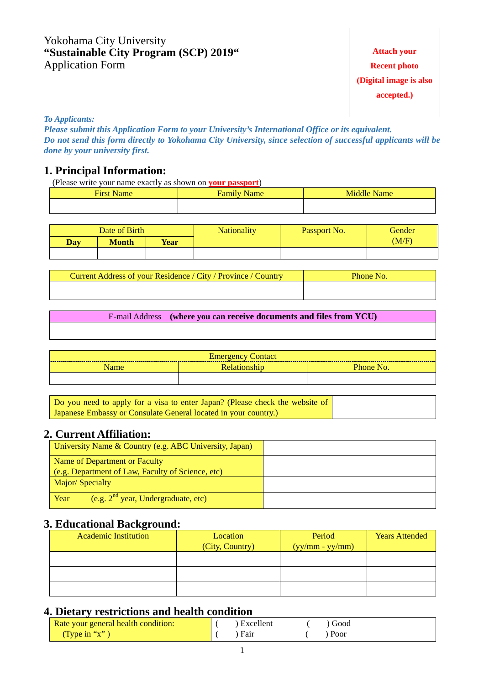### Yokohama City University **"Sustainable City Program (SCP) 2019"** Application Form

# **Attach your Recent photo (Digital image is also accepted.)**

*To Applicants:* 

*Please submit this Application Form to your University's International Office or its equivalent. Do not send this form directly to Yokohama City University, since selection of successful applicants will be done by your university first.* 

#### **1. Principal Information:**

(Please write your name exactly as shown on **your passport**)

| $\overline{\phantom{a}}$<br>Listen.<br>пс | <b>Contract</b><br>ш | -<br>w |
|-------------------------------------------|----------------------|--------|
|                                           |                      |        |

|     | Date of Birth |             | <b>Nationality</b> | <b>Passport No.</b> | Gender |
|-----|---------------|-------------|--------------------|---------------------|--------|
| Day | Month         | <b>Year</b> |                    |                     | (M/F)  |
|     |               |             |                    |                     |        |

| Current Address of your Residence / City / Province / Country | Phone No. |
|---------------------------------------------------------------|-----------|
|                                                               |           |

E-mail Address **(where you can receive documents and files from YCU)**

| Emergency<br>∠ontact |  |                      |  |
|----------------------|--|----------------------|--|
| Name                 |  | Dh<br>N <sub>O</sub> |  |
|                      |  |                      |  |

| Do you need to apply for a visa to enter Japan? (Please check the website of |
|------------------------------------------------------------------------------|
| [Japanese Embassy or Consulate General located in your country.)             |

# **2. Current Affiliation:**

| University Name & Country (e.g. ABC University, Japan) |  |
|--------------------------------------------------------|--|
| Name of Department or Faculty                          |  |
| (e.g. Department of Law, Faculty of Science, etc)      |  |
| Major/Specialty                                        |  |
| (e.g. $2^{nd}$ year, Undergraduate, etc)<br>Year       |  |

#### **3. Educational Background:**

| <b>Academic Institution</b> | Location<br>(City, Country) | Period<br>$(yy/mm - yy/mm)$ | <b>Years Attended</b> |
|-----------------------------|-----------------------------|-----------------------------|-----------------------|
|                             |                             |                             |                       |
|                             |                             |                             |                       |
|                             |                             |                             |                       |

#### **4. Dietary restrictions and health condition**

| Rate your general health condition: | Excellent | Good |  |
|-------------------------------------|-----------|------|--|
| (Type in "x")                       | Fair      | Poor |  |